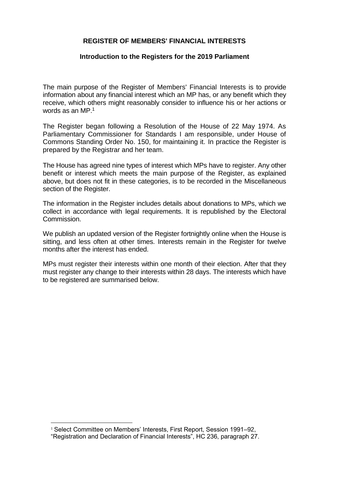## **REGISTER OF MEMBERS' FINANCIAL INTERESTS**

## **Introduction to the Registers for the 2019 Parliament**

The main purpose of the Register of Members' Financial Interests is to provide information about any financial interest which an MP has, or any benefit which they receive, which others might reasonably consider to influence his or her actions or words as an MP. 1

The Register began following a Resolution of the House of 22 May 1974. As Parliamentary Commissioner for Standards I am responsible, under House of Commons Standing Order No. 150, for maintaining it. In practice the Register is prepared by the Registrar and her team.

The House has agreed nine types of interest which MPs have to register. Any other benefit or interest which meets the main purpose of the Register, as explained above, but does not fit in these categories, is to be recorded in the Miscellaneous section of the Register.

The information in the Register includes details about donations to MPs, which we collect in accordance with legal requirements. It is republished by the Electoral Commission.

We publish an updated version of the Register fortnightly online when the House is sitting, and less often at other times. Interests remain in the Register for twelve months after the interest has ended.

MPs must register their interests within one month of their election. After that they must register any change to their interests within 28 days. The interests which have to be registered are summarised below.

 $\ddot{\phantom{a}}$ 

<sup>&</sup>lt;sup>1</sup> Select Committee on Members' Interests, First Report, Session 1991–92, "Registration and Declaration of Financial Interests", HC 236, paragraph 27.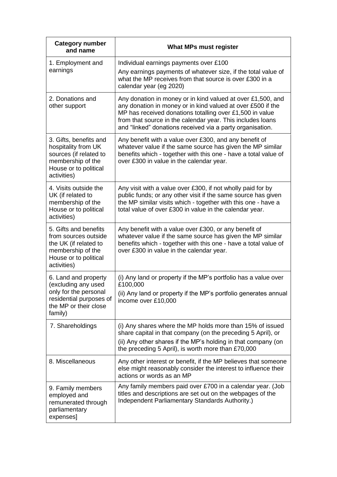| <b>Category number</b><br>and name                                                                                                   | What MPs must register                                                                                                                                                                                                                                                                                            |
|--------------------------------------------------------------------------------------------------------------------------------------|-------------------------------------------------------------------------------------------------------------------------------------------------------------------------------------------------------------------------------------------------------------------------------------------------------------------|
| 1. Employment and<br>earnings                                                                                                        | Individual earnings payments over £100<br>Any earnings payments of whatever size, if the total value of<br>what the MP receives from that source is over £300 in a<br>calendar year (eg 2020)                                                                                                                     |
| 2. Donations and<br>other support                                                                                                    | Any donation in money or in kind valued at over £1,500, and<br>any donation in money or in kind valued at over £500 if the<br>MP has received donations totalling over £1,500 in value<br>from that source in the calendar year. This includes loans<br>and "linked" donations received via a party organisation. |
| 3. Gifts, benefits and<br>hospitality from UK<br>sources (if related to<br>membership of the<br>House or to political<br>activities) | Any benefit with a value over £300, and any benefit of<br>whatever value if the same source has given the MP similar<br>benefits which - together with this one - have a total value of<br>over £300 in value in the calendar year.                                                                               |
| 4. Visits outside the<br>UK (if related to<br>membership of the<br>House or to political<br>activities)                              | Any visit with a value over £300, if not wholly paid for by<br>public funds; or any other visit if the same source has given<br>the MP similar visits which - together with this one - have a<br>total value of over £300 in value in the calendar year.                                                          |
| 5. Gifts and benefits<br>from sources outside<br>the UK (if related to<br>membership of the<br>House or to political<br>activities)  | Any benefit with a value over £300, or any benefit of<br>whatever value if the same source has given the MP similar<br>benefits which - together with this one - have a total value of<br>over £300 in value in the calendar year.                                                                                |
| 6. Land and property<br>(excluding any used<br>only for the personal<br>residential purposes of<br>the MP or their close<br>family)  | (i) Any land or property if the MP's portfolio has a value over<br>£100,000<br>(ii) Any land or property if the MP's portfolio generates annual<br>income over £10,000                                                                                                                                            |
| 7. Shareholdings                                                                                                                     | (i) Any shares where the MP holds more than 15% of issued<br>share capital in that company (on the preceding 5 April), or<br>(ii) Any other shares if the MP's holding in that company (on<br>the preceding 5 April), is worth more than £70,000                                                                  |
| 8. Miscellaneous                                                                                                                     | Any other interest or benefit, if the MP believes that someone<br>else might reasonably consider the interest to influence their<br>actions or words as an MP                                                                                                                                                     |
| 9. Family members<br>employed and<br>remunerated through<br>parliamentary<br>expenses]                                               | Any family members paid over £700 in a calendar year. (Job<br>titles and descriptions are set out on the webpages of the<br>Independent Parliamentary Standards Authority.)                                                                                                                                       |